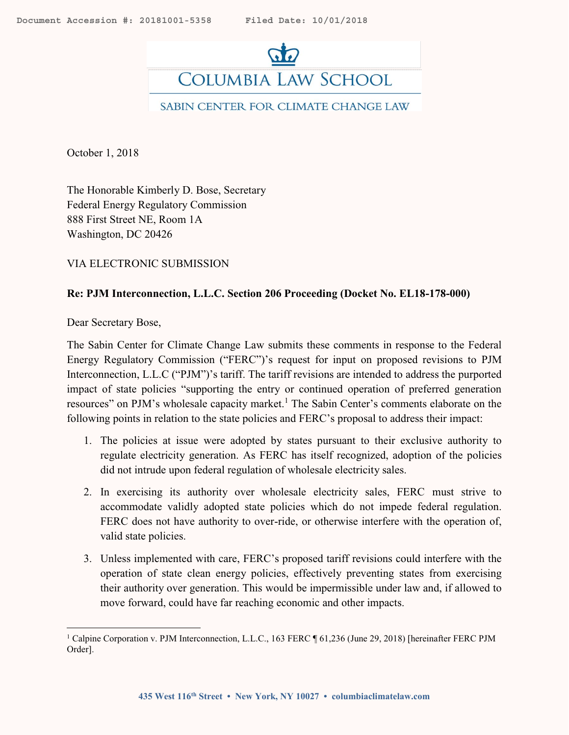<span id="page-0-1"></span>

October 1, 2018

The Honorable Kimberly D. Bose, Secretary Federal Energy Regulatory Commission 888 First Street NE, Room 1A Washington, DC 20426

VIA ELECTRONIC SUBMISSION

#### **Re: PJM Interconnection, L.L.C. Section 206 Proceeding (Docket No. EL18-178-000)**

Dear Secretary Bose,

 $\overline{a}$ 

The Sabin Center for Climate Change Law submits these comments in response to the Federal Energy Regulatory Commission ("FERC")'s request for input on proposed revisions to PJM Interconnection, L.L.C ("PJM")'s tariff. The tariff revisions are intended to address the purported impact of state policies "supporting the entry or continued operation of preferred generation resources" on PJM's wholesale capacity market.<sup>1</sup> The Sabin Center's comments elaborate on the following points in relation to the state policies and FERC's proposal to address their impact:

- <span id="page-0-0"></span>1. The policies at issue were adopted by states pursuant to their exclusive authority to regulate electricity generation. As FERC has itself recognized, adoption of the policies did not intrude upon federal regulation of wholesale electricity sales.
- 2. In exercising its authority over wholesale electricity sales, FERC must strive to accommodate validly adopted state policies which do not impede federal regulation. FERC does not have authority to over-ride, or otherwise interfere with the operation of, valid state policies.
- 3. Unless implemented with care, FERC's proposed tariff revisions could interfere with the operation of state clean energy policies, effectively preventing states from exercising their authority over generation. This would be impermissible under law and, if allowed to move forward, could have far reaching economic and other impacts.

<sup>&</sup>lt;sup>1</sup> Calpine Corporation v. PJM Interconnection, L.L.C., 163 FERC ¶ 61,236 (June 29, 2018) [hereinafter FERC PJM Order].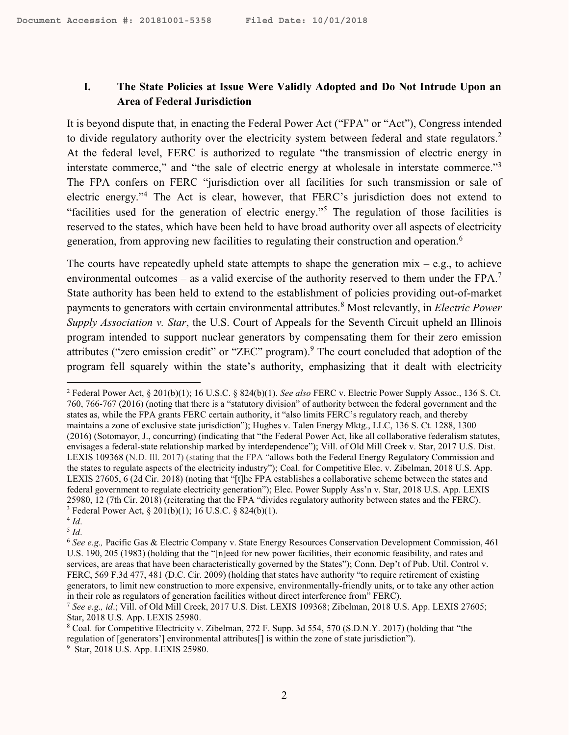### **I. The State Policies at Issue Were Validly Adopted and Do Not Intrude Upon an Area of Federal Jurisdiction**

It is beyond dispute that, in enacting the Federal Power Act ("FPA" or "Act"), Congress intended to divide regulatory authority over the electricity system between federal and state regulators.<sup>2</sup> At the federal level, FERC is authorized to regulate "the transmission of electric energy in interstate commerce," and "the sale of electric energy at wholesale in interstate commerce."<sup>3</sup> The FPA confers on FERC "jurisdiction over all facilities for such transmission or sale of electric energy."<sup>4</sup> The Act is clear, however, that FERC's jurisdiction does not extend to "facilities used for the generation of electric energy."<sup>5</sup> The regulation of those facilities is reserved to the states, which have been held to have broad authority over all aspects of electricity generation, from approving new facilities to regulating their construction and operation.<sup>6</sup>

The courts have repeatedly upheld state attempts to shape the generation  $mix - e.g.,$  to achieve environmental outcomes – as a valid exercise of the authority reserved to them under the FPA.<sup>7</sup> State authority has been held to extend to the establishment of policies providing out-of-market payments to generators with certain environmental attributes.<sup>8</sup> Most relevantly, in *Electric Power Supply Association v. Star*, the U.S. Court of Appeals for the Seventh Circuit upheld an Illinois program intended to support nuclear generators by compensating them for their zero emission attributes ("zero emission credit" or "ZEC" program). <sup>9</sup> The court concluded that adoption of the program fell squarely within the state's authority, emphasizing that it dealt with electricity

4 *Id*. 5 *Id*.

<sup>2</sup> Federal Power Act, § 201(b)(1); 16 U.S.C. § 824(b)(1). *See also* FERC v. Electric Power Supply Assoc., 136 S. Ct. 760, 766-767 (2016) (noting that there is a "statutory division" of authority between the federal government and the states as, while the FPA grants FERC certain authority, it "also limits FERC's regulatory reach, and thereby maintains a zone of exclusive state jurisdiction"); Hughes v. Talen Energy Mktg., LLC, 136 S. Ct. 1288, 1300 (2016) (Sotomayor, J., concurring) (indicating that "the Federal Power Act, like all collaborative federalism statutes, envisages a federal-state relationship marked by interdependence"); Vill. of Old Mill Creek v. Star, 2017 U.S. Dist. LEXIS 109368 (N.D. Ill. 2017) (stating that the FPA "allows both the Federal Energy Regulatory Commission and the states to regulate aspects of the electricity industry"); Coal. for Competitive Elec. v. Zibelman, 2018 U.S. App. LEXIS 27605, 6 (2d Cir. 2018) (noting that "[t]he FPA establishes a collaborative scheme between the states and federal government to regulate electricity generation"); Elec. Power Supply Ass'n v. Star, 2018 U.S. App. LEXIS 25980, 12 (7th Cir. 2018) (reiterating that the FPA "divides regulatory authority between states and the FERC). <sup>3</sup> Federal Power Act, § 201(b)(1); 16 U.S.C. § 824(b)(1).

<sup>6</sup> *See e.g.,* Pacific Gas & Electric Company v. State Energy Resources Conservation Development Commission, 461 U.S. 190, 205 (1983) (holding that the "[n]eed for new power facilities, their economic feasibility, and rates and services, are areas that have been characteristically governed by the States"); Conn. Dep't of Pub. Util. Control v. FERC, 569 F.3d 477, 481 (D.C. Cir. 2009) (holding that states have authority "to require retirement of existing generators, to limit new construction to more expensive, environmentally-friendly units, or to take any other action in their role as regulators of generation facilities without direct interference from" FERC).

<sup>7</sup> *See e.g., id*.; Vill. of Old Mill Creek, 2017 U.S. Dist. LEXIS 109368; Zibelman, 2018 U.S. App. LEXIS 27605; Star, 2018 U.S. App. LEXIS 25980.

<sup>8</sup> Coal. for Competitive Electricity v. Zibelman, 272 F. Supp. 3d 554, 570 (S.D.N.Y. 2017) (holding that "the regulation of [generators'] environmental attributes[] is within the zone of state jurisdiction").

<sup>9</sup> Star, 2018 U.S. App. LEXIS 25980.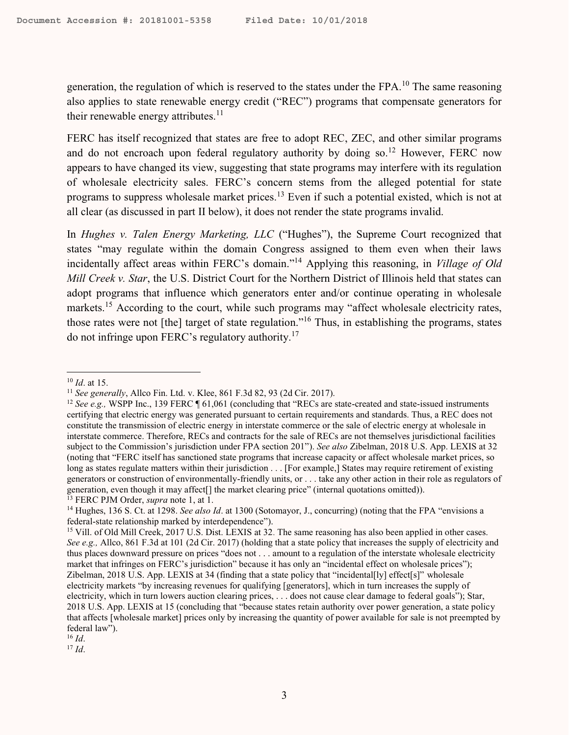generation, the regulation of which is reserved to the states under the FPA.<sup>10</sup> The same reasoning also applies to state renewable energy credit ("REC") programs that compensate generators for their renewable energy attributes. $11$ 

FERC has itself recognized that states are free to adopt REC, ZEC, and other similar programs and do not encroach upon federal regulatory authority by doing so.<sup>12</sup> However, FERC now appears to have changed its view, suggesting that state programs may interfere with its regulation of wholesale electricity sales. FERC's concern stems from the alleged potential for state programs to suppress wholesale market prices.<sup>13</sup> Even if such a potential existed, which is not at all clear (as discussed in part [II](#page-3-0) below), it does not render the state programs invalid.

In *Hughes v. Talen Energy Marketing, LLC* ("Hughes"), the Supreme Court recognized that states "may regulate within the domain Congress assigned to them even when their laws incidentally affect areas within FERC's domain."<sup>14</sup> Applying this reasoning, in *Village of Old Mill Creek v. Star*, the U.S. District Court for the Northern District of Illinois held that states can adopt programs that influence which generators enter and/or continue operating in wholesale markets.<sup>15</sup> According to the court, while such programs may "affect wholesale electricity rates, those rates were not [the] target of state regulation."<sup>16</sup> Thus, in establishing the programs, states do not infringe upon FERC's regulatory authority.<sup>17</sup>

<sup>17</sup> *Id*.

 $\overline{a}$ <sup>10</sup> *Id*. at 15.

<sup>11</sup> *See generally*, Allco Fin. Ltd. v. Klee, 861 F.3d 82, 93 (2d Cir. 2017).

<sup>&</sup>lt;sup>12</sup> *See e.g.*, WSPP Inc., 139 FERC ¶ 61,061 (concluding that "RECs are state-created and state-issued instruments certifying that electric energy was generated pursuant to certain requirements and standards. Thus, a REC does not constitute the transmission of electric energy in interstate commerce or the sale of electric energy at wholesale in interstate commerce. Therefore, RECs and contracts for the sale of RECs are not themselves jurisdictional facilities subject to the Commission's jurisdiction under FPA section 201"). *See also* Zibelman, 2018 U.S. App. LEXIS at 32 (noting that "FERC itself has sanctioned state programs that increase capacity or affect wholesale market prices, so long as states regulate matters within their jurisdiction . . . [For example,] States may require retirement of existing generators or construction of environmentally-friendly units, or . . . take any other action in their role as regulators of generation, even though it may affect[] the market clearing price" (internal quotations omitted)). <sup>13</sup> FERC PJM Order, *supra* note [1,](#page-0-0) at 1.

<sup>&</sup>lt;sup>14</sup> Hughes, 136 S. Ct. at 1298. *See also Id.* at 1300 (Sotomayor, J., concurring) (noting that the FPA "envisions a federal-state relationship marked by interdependence").

<sup>&</sup>lt;sup>15</sup> Vill. of Old Mill Creek, 2017 U.S. Dist. LEXIS at 32. The same reasoning has also been applied in other cases. *See e.g.,* Allco, 861 F.3d at 101 (2d Cir. 2017) (holding that a state policy that increases the supply of electricity and thus places downward pressure on prices "does not . . . amount to a regulation of the interstate wholesale electricity market that infringes on FERC's jurisdiction" because it has only an "incidental effect on wholesale prices"); Zibelman, 2018 U.S. App. LEXIS at 34 (finding that a state policy that "incidental[ly] effect[s]" wholesale electricity markets "by increasing revenues for qualifying [generators], which in turn increases the supply of electricity, which in turn lowers auction clearing prices, . . . does not cause clear damage to federal goals"); Star, 2018 U.S. App. LEXIS at 15 (concluding that "because states retain authority over power generation, a state policy that affects [wholesale market] prices only by increasing the quantity of power available for sale is not preempted by federal law").

<sup>16</sup> *Id*.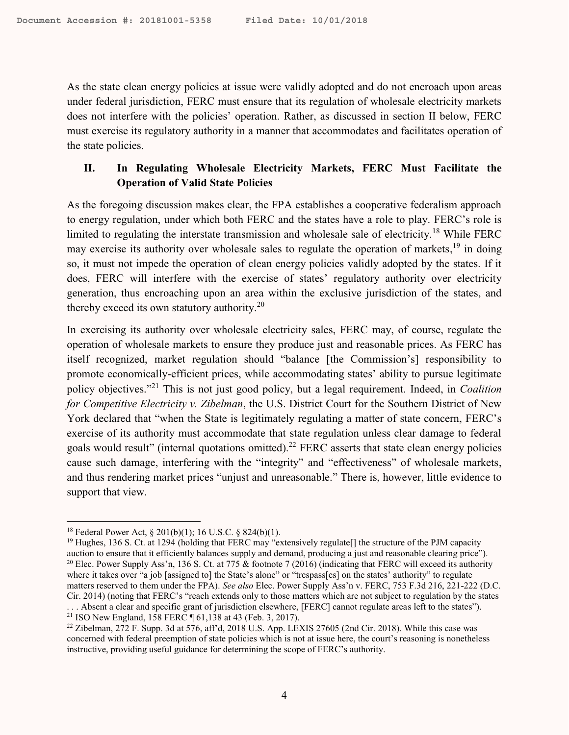As the state clean energy policies at issue were validly adopted and do not encroach upon areas under federal jurisdiction, FERC must ensure that its regulation of wholesale electricity markets does not interfere with the policies' operation. Rather, as discussed in section II below, FERC must exercise its regulatory authority in a manner that accommodates and facilitates operation of the state policies.

# <span id="page-3-0"></span>**II. In Regulating Wholesale Electricity Markets, FERC Must Facilitate the Operation of Valid State Policies**

As the foregoing discussion makes clear, the FPA establishes a cooperative federalism approach to energy regulation, under which both FERC and the states have a role to play. FERC's role is limited to regulating the interstate transmission and wholesale sale of electricity.<sup>18</sup> While FERC may exercise its authority over wholesale sales to regulate the operation of markets,  $19$  in doing so, it must not impede the operation of clean energy policies validly adopted by the states. If it does, FERC will interfere with the exercise of states' regulatory authority over electricity generation, thus encroaching upon an area within the exclusive jurisdiction of the states, and thereby exceed its own statutory authority.<sup>20</sup>

In exercising its authority over wholesale electricity sales, FERC may, of course, regulate the operation of wholesale markets to ensure they produce just and reasonable prices. As FERC has itself recognized, market regulation should "balance [the Commission's] responsibility to promote economically-efficient prices, while accommodating states' ability to pursue legitimate policy objectives."<sup>21</sup> This is not just good policy, but a legal requirement. Indeed, in *Coalition for Competitive Electricity v. Zibelman*, the U.S. District Court for the Southern District of New York declared that "when the State is legitimately regulating a matter of state concern, FERC's exercise of its authority must accommodate that state regulation unless clear damage to federal goals would result" (internal quotations omitted).<sup>22</sup> FERC asserts that state clean energy policies cause such damage, interfering with the "integrity" and "effectiveness" of wholesale markets, and thus rendering market prices "unjust and unreasonable." There is, however, little evidence to support that view.

<sup>18</sup> Federal Power Act, § 201(b)(1); 16 U.S.C. § 824(b)(1).

<sup>&</sup>lt;sup>19</sup> Hughes, 136 S. Ct. at 1294 (holding that FERC may "extensively regulate<sup>[]</sup> the structure of the PJM capacity auction to ensure that it efficiently balances supply and demand, producing a just and reasonable clearing price"). <sup>20</sup> Elec. Power Supply Ass'n, 136 S. Ct. at 775 & footnote 7 (2016) (indicating that FERC will exceed its authority where it takes over "a job [assigned to] the State's alone" or "trespass[es] on the states' authority" to regulate matters reserved to them under the FPA). *See also* Elec. Power Supply Ass'n v. FERC, 753 F.3d 216, 221-222 (D.C. Cir. 2014) (noting that FERC's "reach extends only to those matters which are not subject to regulation by the states . . . Absent a clear and specific grant of jurisdiction elsewhere, [FERC] cannot regulate areas left to the states"). <sup>21</sup> ISO New England, 158 FERC ¶ 61,138 at 43 (Feb. 3, 2017).

<sup>&</sup>lt;sup>22</sup> Zibelman, 272 F. Supp. 3d at 576, aff'd, 2018 U.S. App. LEXIS 27605 (2nd Cir. 2018). While this case was concerned with federal preemption of state policies which is not at issue here, the court's reasoning is nonetheless instructive, providing useful guidance for determining the scope of FERC's authority.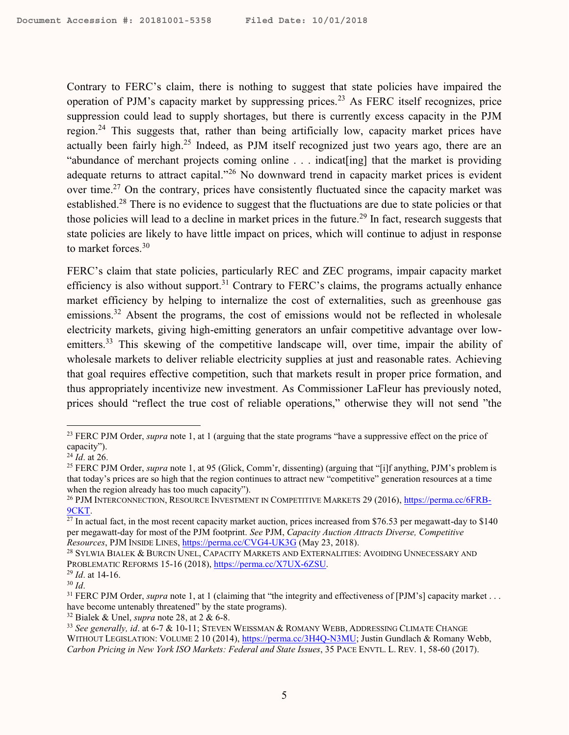Contrary to FERC's claim, there is nothing to suggest that state policies have impaired the operation of PJM's capacity market by suppressing prices.<sup>23</sup> As FERC itself recognizes, price suppression could lead to supply shortages, but there is currently excess capacity in the PJM region.<sup>24</sup> This suggests that, rather than being artificially low, capacity market prices have actually been fairly high.<sup>25</sup> Indeed, as PJM itself recognized just two years ago, there are an "abundance of merchant projects coming online . . . indicat[ing] that the market is providing adequate returns to attract capital."<sup>26</sup> No downward trend in capacity market prices is evident over time.<sup>27</sup> On the contrary, prices have consistently fluctuated since the capacity market was established.<sup>28</sup> There is no evidence to suggest that the fluctuations are due to state policies or that those policies will lead to a decline in market prices in the future.<sup>29</sup> In fact, research suggests that state policies are likely to have little impact on prices, which will continue to adjust in response to market forces.<sup>30</sup>

<span id="page-4-0"></span>FERC's claim that state policies, particularly REC and ZEC programs, impair capacity market efficiency is also without support.<sup>31</sup> Contrary to FERC's claims, the programs actually enhance market efficiency by helping to internalize the cost of externalities, such as greenhouse gas emissions.<sup>32</sup> Absent the programs, the cost of emissions would not be reflected in wholesale electricity markets, giving high-emitting generators an unfair competitive advantage over lowemitters.<sup>33</sup> This skewing of the competitive landscape will, over time, impair the ability of wholesale markets to deliver reliable electricity supplies at just and reasonable rates. Achieving that goal requires effective competition, such that markets result in proper price formation, and thus appropriately incentivize new investment. As Commissioner LaFleur has previously noted, prices should "reflect the true cost of reliable operations," otherwise they will not send "the

<sup>23</sup> FERC PJM Order, *supra* note [1,](#page-0-0) at 1 (arguing that the state programs "have a suppressive effect on the price of capacity").

<sup>24</sup> *Id*. at 26.

<sup>25</sup> FERC PJM Order, *supra* not[e 1,](#page-0-0) at 95 (Glick, Comm'r, dissenting) (arguing that "[i]f anything, PJM's problem is that today's prices are so high that the region continues to attract new "competitive" generation resources at a time when the region already has too much capacity").

<sup>26</sup> PJM INTERCONNECTION, RESOURCE INVESTMENT IN COMPETITIVE MARKETS 29 (2016)[, https://perma.cc/6FRB-](https://perma.cc/6FRB-9CKT)[9CKT.](https://perma.cc/6FRB-9CKT)

 $\frac{27 \text{ In actual fact, in the most recent capacity market auction, prices increased from $76.53 per megawatt-day to $140}$ per megawatt-day for most of the PJM footprint. *See* PJM, *Capacity Auction Attracts Diverse, Competitive Resources*, PJM INSIDE LINES,<https://perma.cc/CVG4-UK3G> (May 23, 2018).

<sup>28</sup> SYLWIA BIALEK & BURCIN UNEL, CAPACITY MARKETS AND EXTERNALITIES: AVOIDING UNNECESSARY AND PROBLEMATIC REFORMS 15-16 (2018), [https://perma.cc/X7UX-6ZSU.](https://perma.cc/X7UX-6ZSU)

<sup>29</sup> *Id*. at 14-16.

<sup>30</sup> *Id*.

<sup>&</sup>lt;sup>31</sup> FERC PJM Order, *supra* note [1,](#page-0-0) at 1 (claiming that "the integrity and effectiveness of [PJM's] capacity market . . . have become untenably threatened" by the state programs).

<sup>32</sup> Bialek & Unel, *supra* note [28,](#page-4-0) at 2 & 6-8.

<sup>33</sup> *See generally, id*. at 6-7 & 10-11; STEVEN WEISSMAN & ROMANY WEBB, ADDRESSING CLIMATE CHANGE WITHOUT LEGISLATION: VOLUME 2 10 (2014), [https://perma.cc/3H4Q-N3MU;](https://perma.cc/3H4Q-N3MU) Justin Gundlach & Romany Webb, *Carbon Pricing in New York ISO Markets: Federal and State Issues*, 35 PACE ENVTL. L. REV. 1, 58-60 (2017).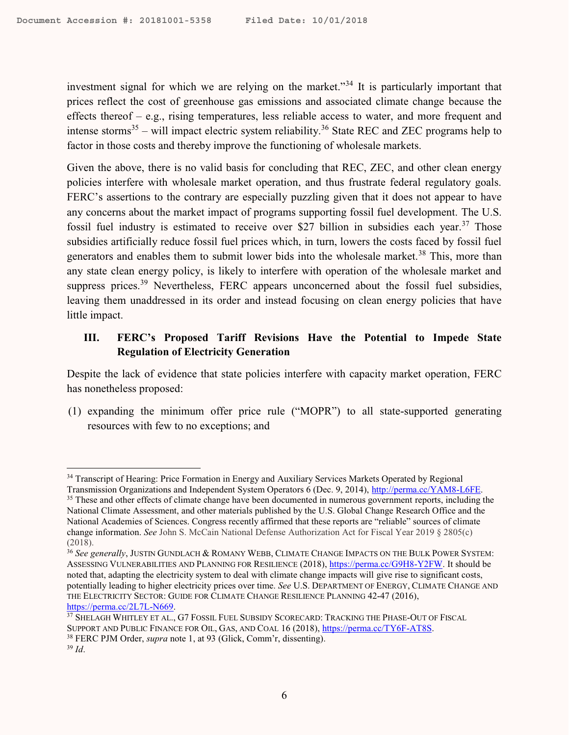investment signal for which we are relying on the market."<sup>34</sup> It is particularly important that prices reflect the cost of greenhouse gas emissions and associated climate change because the effects thereof – e.g., rising temperatures, less reliable access to water, and more frequent and intense storms<sup>35</sup> – will impact electric system reliability.<sup>36</sup> State REC and ZEC programs help to factor in those costs and thereby improve the functioning of wholesale markets.

Given the above, there is no valid basis for concluding that REC, ZEC, and other clean energy policies interfere with wholesale market operation, and thus frustrate federal regulatory goals. FERC's assertions to the contrary are especially puzzling given that it does not appear to have any concerns about the market impact of programs supporting fossil fuel development. The U.S. fossil fuel industry is estimated to receive over \$27 billion in subsidies each year.<sup>37</sup> Those subsidies artificially reduce fossil fuel prices which, in turn, lowers the costs faced by fossil fuel generators and enables them to submit lower bids into the wholesale market.<sup>38</sup> This, more than any state clean energy policy, is likely to interfere with operation of the wholesale market and suppress prices.<sup>39</sup> Nevertheless, FERC appears unconcerned about the fossil fuel subsidies, leaving them unaddressed in its order and instead focusing on clean energy policies that have little impact.

# **III. FERC's Proposed Tariff Revisions Have the Potential to Impede State Regulation of Electricity Generation**

Despite the lack of evidence that state policies interfere with capacity market operation, FERC has nonetheless proposed:

(1) expanding the minimum offer price rule ("MOPR") to all state-supported generating resources with few to no exceptions; and

<sup>&</sup>lt;sup>34</sup> Transcript of Hearing: Price Formation in Energy and Auxiliary Services Markets Operated by Regional

Transmission Organizations and Independent System Operators 6 (Dec. 9, 2014), [http://perma.cc/YAM8-L6FE.](http://perma.cc/YAM8-L6FE) 

<sup>&</sup>lt;sup>35</sup> These and other effects of climate change have been documented in numerous government reports, including the National Climate Assessment, and other materials published by the U.S. Global Change Research Office and the National Academies of Sciences. Congress recently affirmed that these reports are "reliable" sources of climate change information. *See* John S. McCain National Defense Authorization Act for Fiscal Year 2019 § 2805(c) (2018).

<sup>&</sup>lt;sup>36</sup> See generally, JUSTIN GUNDLACH & ROMANY WEBB, CLIMATE CHANGE IMPACTS ON THE BULK POWER SYSTEM: ASSESSING VULNERABILITIES AND PLANNING FOR RESILIENCE (2018)[, https://perma.cc/G9H8-Y2FW.](https://perma.cc/G9H8-Y2FW) It should be noted that, adapting the electricity system to deal with climate change impacts will give rise to significant costs, potentially leading to higher electricity prices over time. *See* U.S. DEPARTMENT OF ENERGY, CLIMATE CHANGE AND THE ELECTRICITY SECTOR: GUIDE FOR CLIMATE CHANGE RESILIENCE PLANNING 42-47 (2016), [https://perma.cc/2L7L-N669.](https://perma.cc/2L7L-N669)

<sup>37</sup> SHELAGH WHITLEY ET AL., G7 FOSSIL FUEL SUBSIDY SCORECARD: TRACKING THE PHASE-OUT OF FISCAL SUPPORT AND PUBLIC FINANCE FOR OIL, GAS, AND COAL 16 (2018), [https://perma.cc/TY6F-AT8S.](https://perma.cc/TY6F-AT8S) <sup>38</sup> FERC PJM Order, *supra* note [1,](#page-0-0) at 93 (Glick, Comm'r, dissenting).

<sup>39</sup> *Id*.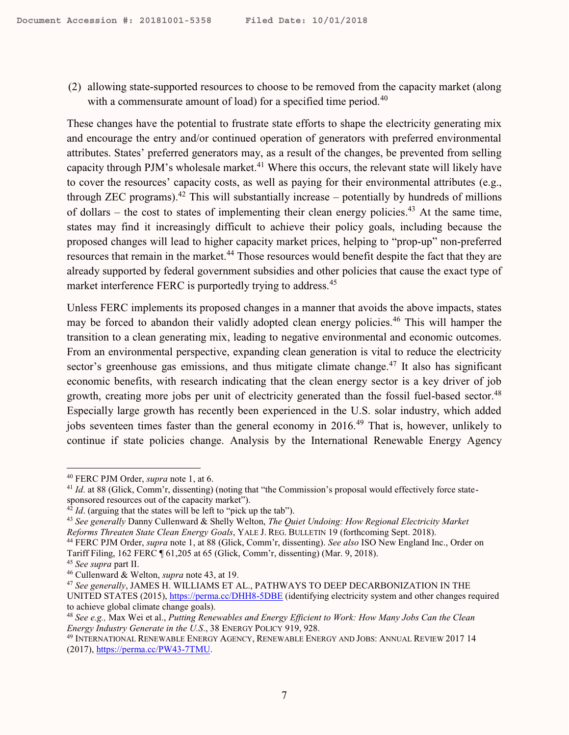(2) allowing state-supported resources to choose to be removed from the capacity market (along with a commensurate amount of load) for a specified time period.<sup>40</sup>

<span id="page-6-0"></span>These changes have the potential to frustrate state efforts to shape the electricity generating mix and encourage the entry and/or continued operation of generators with preferred environmental attributes. States' preferred generators may, as a result of the changes, be prevented from selling capacity through PJM's wholesale market.<sup>41</sup> Where this occurs, the relevant state will likely have to cover the resources' capacity costs, as well as paying for their environmental attributes (e.g., through ZEC programs).<sup>42</sup> This will substantially increase  $-$  potentially by hundreds of millions of dollars – the cost to states of implementing their clean energy policies.<sup>43</sup> At the same time, states may find it increasingly difficult to achieve their policy goals, including because the proposed changes will lead to higher capacity market prices, helping to "prop-up" non-preferred resources that remain in the market.<sup>44</sup> Those resources would benefit despite the fact that they are already supported by federal government subsidies and other policies that cause the exact type of market interference FERC is purportedly trying to address.<sup>45</sup>

Unless FERC implements its proposed changes in a manner that avoids the above impacts, states may be forced to abandon their validly adopted clean energy policies.<sup>46</sup> This will hamper the transition to a clean generating mix, leading to negative environmental and economic outcomes. From an environmental perspective, expanding clean generation is vital to reduce the electricity sector's greenhouse gas emissions, and thus mitigate climate change.<sup>47</sup> It also has significant economic benefits, with research indicating that the clean energy sector is a key driver of job growth, creating more jobs per unit of electricity generated than the fossil fuel-based sector.<sup>48</sup> Especially large growth has recently been experienced in the U.S. solar industry, which added jobs seventeen times faster than the general economy in 2016.<sup>49</sup> That is, however, unlikely to continue if state policies change. Analysis by the International Renewable Energy Agency

<sup>40</sup> FERC PJM Order, *supra* not[e 1,](#page-0-0) at 6.

<sup>&</sup>lt;sup>41</sup> *Id.* at 88 (Glick, Comm'r, dissenting) (noting that "the Commission's proposal would effectively force statesponsored resources out of the capacity market").

 $42$  *Id*. (arguing that the states will be left to "pick up the tab").

<sup>43</sup> *See generally* Danny Cullenward & Shelly Welton, *The Quiet Undoing: How Regional Electricity Market Reforms Threaten State Clean Energy Goals*, YALE J. REG. BULLETIN 19 (forthcoming Sept. 2018).

<sup>44</sup> FERC PJM Order, *supra* note [1,](#page-0-0) at 88 (Glick, Comm'r, dissenting). *See also* ISO New England Inc., Order on Tariff Filing, 162 FERC ¶ 61,205 at 65 (Glick, Comm'r, dissenting) (Mar. 9, 2018).

<sup>45</sup> *See supra* par[t II.](#page-3-0)

<sup>46</sup> Cullenward & Welton, *supra* note [43,](#page-6-0) at 19.

<sup>47</sup> *See generally*, JAMES H. WILLIAMS ET AL., PATHWAYS TO DEEP DECARBONIZATION IN THE UNITED STATES (2015)[, https://perma.cc/DHH8-5DBE](https://perma.cc/DHH8-5DBE) (identifying electricity system and other changes required to achieve global climate change goals).

<sup>48</sup> *See e.g.,* Max Wei et al., *Putting Renewables and Energy Efficient to Work: How Many Jobs Can the Clean Energy Industry Generate in the U.S*., 38 ENERGY POLICY 919, 928.

<sup>49</sup> INTERNATIONAL RENEWABLE ENERGY AGENCY, RENEWABLE ENERGY AND JOBS: ANNUAL REVIEW 2017 14 (2017)[, https://perma.cc/PW43-7TMU.](https://perma.cc/PW43-7TMU)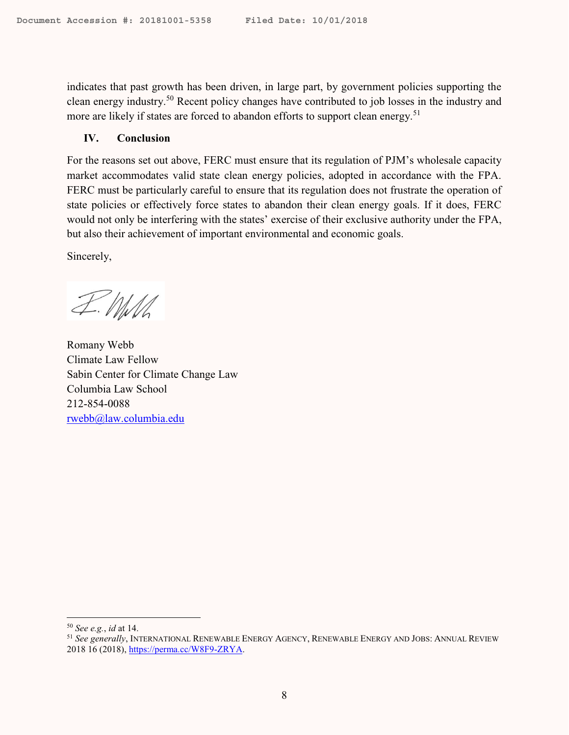indicates that past growth has been driven, in large part, by government policies supporting the clean energy industry.<sup>50</sup> Recent policy changes have contributed to job losses in the industry and more are likely if states are forced to abandon efforts to support clean energy.<sup>51</sup>

#### **IV. Conclusion**

For the reasons set out above, FERC must ensure that its regulation of PJM's wholesale capacity market accommodates valid state clean energy policies, adopted in accordance with the FPA. FERC must be particularly careful to ensure that its regulation does not frustrate the operation of state policies or effectively force states to abandon their clean energy goals. If it does, FERC would not only be interfering with the states' exercise of their exclusive authority under the FPA, but also their achievement of important environmental and economic goals.

Sincerely,

I. MM

Romany Webb Climate Law Fellow Sabin Center for Climate Change Law Columbia Law School 212-854-0088 [rwebb@law.columbia.edu](mailto:rwebb@law.columbia.edu)

<sup>50</sup> *See e.g.*, *id* at 14.

<sup>51</sup> *See generally*, INTERNATIONAL RENEWABLE ENERGY AGENCY, RENEWABLE ENERGY AND JOBS: ANNUAL REVIEW 2018 16 (2018)[, https://perma.cc/W8F9-ZRYA.](https://perma.cc/W8F9-ZRYA)